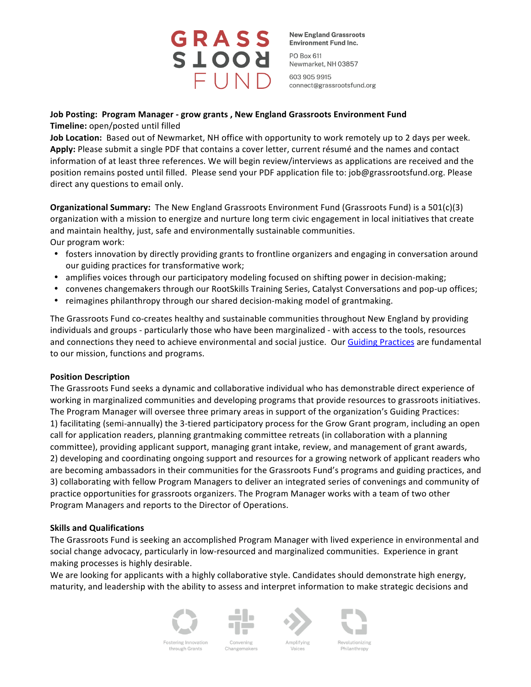

**New England Grassroots Environment Fund Inc.** 

PO Box 611 Newmarket, NH 03857

603 905 9915 connect@grassrootsfund.org

# **Job Posting: Program Manager - grow grants, New England Grassroots Environment Fund Timeline:** open/posted until filled

**Job Location:** Based out of Newmarket, NH office with opportunity to work remotely up to 2 days per week. Apply: Please submit a single PDF that contains a cover letter, current résumé and the names and contact information of at least three references. We will begin review/interviews as applications are received and the position remains posted until filled. Please send your PDF application file to: job@grassrootsfund.org. Please direct any questions to email only.

**Organizational Summary:** The New England Grassroots Environment Fund (Grassroots Fund) is a 501(c)(3) organization with a mission to energize and nurture long term civic engagement in local initiatives that create and maintain healthy, just, safe and environmentally sustainable communities. Our program work:

- fosters innovation by directly providing grants to frontline organizers and engaging in conversation around our guiding practices for transformative work;
- amplifies voices through our participatory modeling focused on shifting power in decision-making;
- convenes changemakers through our RootSkills Training Series, Catalyst Conversations and pop-up offices;
- reimagines philanthropy through our shared decision-making model of grantmaking.

The Grassroots Fund co-creates healthy and sustainable communities throughout New England by providing individuals and groups - particularly those who have been marginalized - with access to the tools, resources and connections they need to achieve environmental and social justice. Our Guiding Practices are fundamental to our mission, functions and programs.

## **Position Description**

The Grassroots Fund seeks a dynamic and collaborative individual who has demonstrable direct experience of working in marginalized communities and developing programs that provide resources to grassroots initiatives. The Program Manager will oversee three primary areas in support of the organization's Guiding Practices: 1) facilitating (semi-annually) the 3-tiered participatory process for the Grow Grant program, including an open call for application readers, planning grantmaking committee retreats (in collaboration with a planning committee), providing applicant support, managing grant intake, review, and management of grant awards, 2) developing and coordinating ongoing support and resources for a growing network of applicant readers who are becoming ambassadors in their communities for the Grassroots Fund's programs and guiding practices, and 3) collaborating with fellow Program Managers to deliver an integrated series of convenings and community of practice opportunities for grassroots organizers. The Program Manager works with a team of two other Program Managers and reports to the Director of Operations.

## **Skills and Qualifications**

The Grassroots Fund is seeking an accomplished Program Manager with lived experience in environmental and social change advocacy, particularly in low-resourced and marginalized communities. Experience in grant making processes is highly desirable.

We are looking for applicants with a highly collaborative style. Candidates should demonstrate high energy, maturity, and leadership with the ability to assess and interpret information to make strategic decisions and



Fostering Innovation

through Grants



Changemakers





Revolutionizing hilanthropy